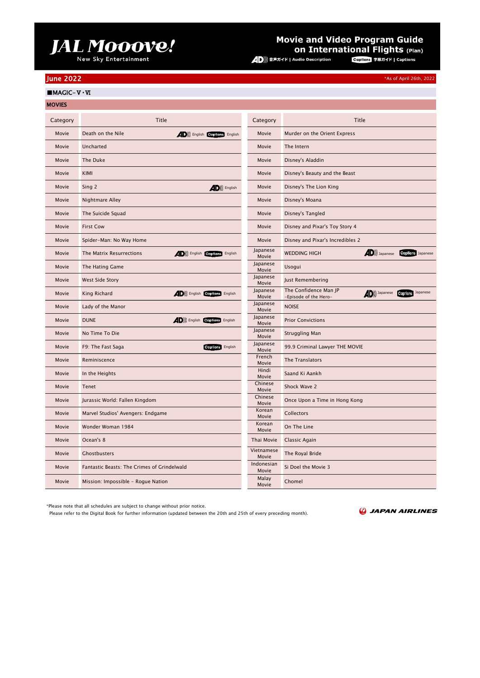## JAL MOOOVe!

### **Movie and Video Program Guide On International Flights (Plan)**<br>audio Description **Copilons** ###4F | Captions

\*As of April 26th, 2022

### June 2022

■MAGIC-Ⅴ・Ⅵ

| <b>MOVIES</b> |                                                                   |                     |                                                                                                  |
|---------------|-------------------------------------------------------------------|---------------------|--------------------------------------------------------------------------------------------------|
| Category      | <b>Title</b>                                                      | Category            | <b>Title</b>                                                                                     |
| Movie         | Death on the Nile<br><b>4D</b> )) English <b>Captions</b> English | Movie               | Murder on the Orient Express                                                                     |
| Movie         | Uncharted                                                         | Movie               | The Intern                                                                                       |
| Movie         | The Duke                                                          | Movie               | Disney's Aladdin                                                                                 |
| Movie         | KIMI                                                              | Movie               | Disney's Beauty and the Beast                                                                    |
| Movie         | Sing 2<br>$AD$ )) English                                         | Movie               | Disney's The Lion King                                                                           |
| Movie         | Nightmare Alley                                                   | Movie               | Disney's Moana                                                                                   |
| Movie         | The Suicide Squad                                                 | Movie               | Disney's Tangled                                                                                 |
| Movie         | <b>First Cow</b>                                                  | Movie               | Disney and Pixar's Toy Story 4                                                                   |
| Movie         | Spider-Man: No Way Home                                           | Movie               | Disney and Pixar's Incredibles 2                                                                 |
| Movie         | (D)) English Captions English<br>The Matrix Resurrections         | Japanese<br>Movie   | $\langle$ D)) Japanese<br><b>Captions</b> Japanese<br><b>WEDDING HIGH</b>                        |
| Movie         | The Hating Game                                                   | Japanese<br>Movie   | Usogui                                                                                           |
| Movie         | West Side Story                                                   | Japanese<br>Movie   | Just Remembering                                                                                 |
| Movie         | (D)) English Captions English<br>King Richard                     | Japanese<br>Movie   | The Confidence Man JP<br><b>AD</b> )) Japanese <b>Copilons</b> Japanese<br>-Episode of the Hero- |
| Movie         | Lady of the Manor                                                 | Japanese<br>Movie   | <b>NOISE</b>                                                                                     |
| Movie         | <b>DUNE</b><br><b>4D</b> )) English <b>Captions</b> English       | Japanese<br>Movie   | <b>Prior Convictions</b>                                                                         |
| Movie         | No Time To Die                                                    | Japanese<br>Movie   | <b>Struggling Man</b>                                                                            |
| Movie         | <b>Captions</b> English<br>F9: The Fast Saga                      | Japanese<br>Movie   | 99.9 Criminal Lawyer THE MOVIE                                                                   |
| Movie         | Reminiscence                                                      | French<br>Movie     | The Translators                                                                                  |
| Movie         | In the Heights                                                    | Hindi<br>Movie      | Saand Ki Aankh                                                                                   |
| Movie         | Tenet                                                             | Chinese<br>Movie    | Shock Wave 2                                                                                     |
| Movie         | Jurassic World: Fallen Kingdom                                    | Chinese<br>Movie    | Once Upon a Time in Hong Kong                                                                    |
| Movie         | Marvel Studios' Avengers: Endgame                                 | Korean<br>Movie     | Collectors                                                                                       |
| Movie         | Wonder Woman 1984                                                 | Korean<br>Movie     | On The Line                                                                                      |
| Movie         | Ocean's 8                                                         | Thai Movie          | Classic Again                                                                                    |
| Movie         | Ghostbusters                                                      | Vietnamese<br>Movie | The Royal Bride                                                                                  |
| Movie         | Fantastic Beasts: The Crimes of Grindelwald                       | Indonesian<br>Movie | Si Doel the Movie 3                                                                              |
| Movie         | Mission: Impossible - Rogue Nation                                | Malay<br>Movie      | Chomel                                                                                           |

\*Please note that all schedules are subject to change without prior notice.

Please refer to the Digital Book for further information (updated between the 20th and 25th of every preceding month).